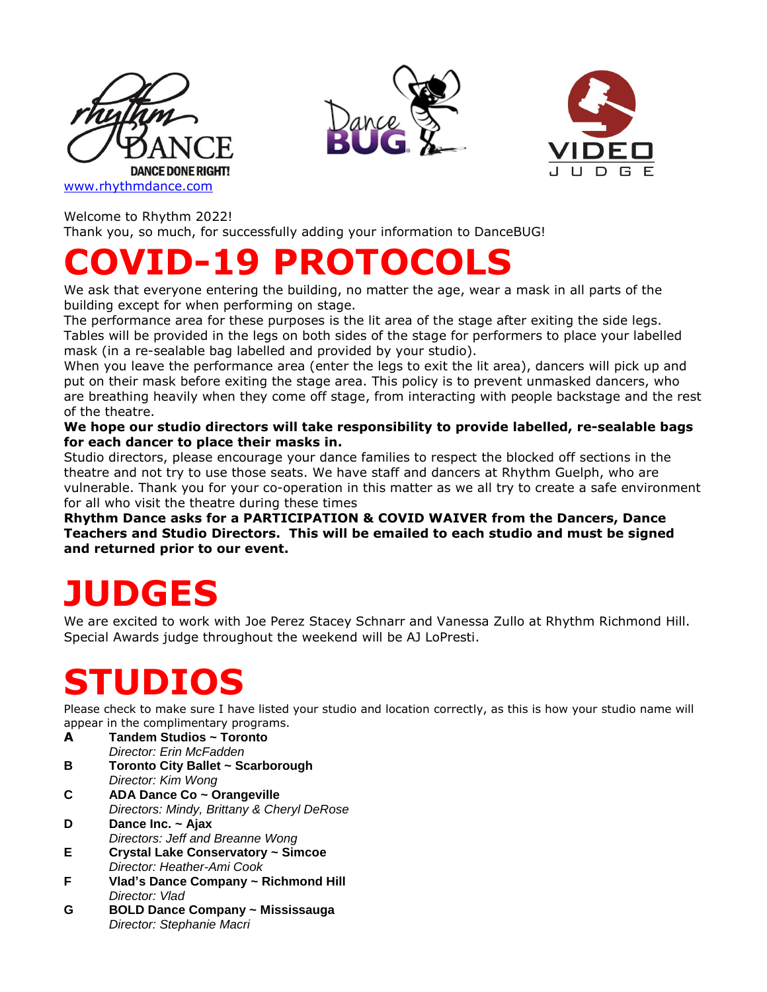





Welcome to Rhythm 2022!

Thank you, so much, for successfully adding your information to DanceBUG!

## **COVID-19 PROTOC**

We ask that everyone entering the building, no matter the age, wear a mask in all parts of the building except for when performing on stage.

The performance area for these purposes is the lit area of the stage after exiting the side legs. Tables will be provided in the legs on both sides of the stage for performers to place your labelled mask (in a re-sealable bag labelled and provided by your studio).

When you leave the performance area (enter the legs to exit the lit area), dancers will pick up and put on their mask before exiting the stage area. This policy is to prevent unmasked dancers, who are breathing heavily when they come off stage, from interacting with people backstage and the rest of the theatre.

**We hope our studio directors will take responsibility to provide labelled, re-sealable bags for each dancer to place their masks in.**

Studio directors, please encourage your dance families to respect the blocked off sections in the theatre and not try to use those seats. We have staff and dancers at Rhythm Guelph, who are vulnerable. Thank you for your co-operation in this matter as we all try to create a safe environment for all who visit the theatre during these times

**Rhythm Dance asks for a PARTICIPATION & COVID WAIVER from the Dancers, Dance Teachers and Studio Directors. This will be emailed to each studio and must be signed and returned prior to our event.**

## **JUDGES**

We are excited to work with Joe Perez Stacey Schnarr and Vanessa Zullo at Rhythm Richmond Hill. Special Awards judge throughout the weekend will be AJ LoPresti.

## **STUDIOS**

Please check to make sure I have listed your studio and location correctly, as this is how your studio name will appear in the complimentary programs.

- **A Tandem Studios ~ Toronto** *Director: Erin McFadden*
- **B Toronto City Ballet ~ Scarborough** *Director: Kim Wong*
- **C ADA Dance Co ~ Orangeville** *Directors: Mindy, Brittany & Cheryl DeRose*
- **D Dance Inc. ~ Ajax** *Directors: Jeff and Breanne Wong*
- **E Crystal Lake Conservatory ~ Simcoe** *Director: Heather-Ami Cook*
- **F Vlad's Dance Company ~ Richmond Hill** *Director: Vlad*
- **G BOLD Dance Company ~ Mississauga** *Director: Stephanie Macri*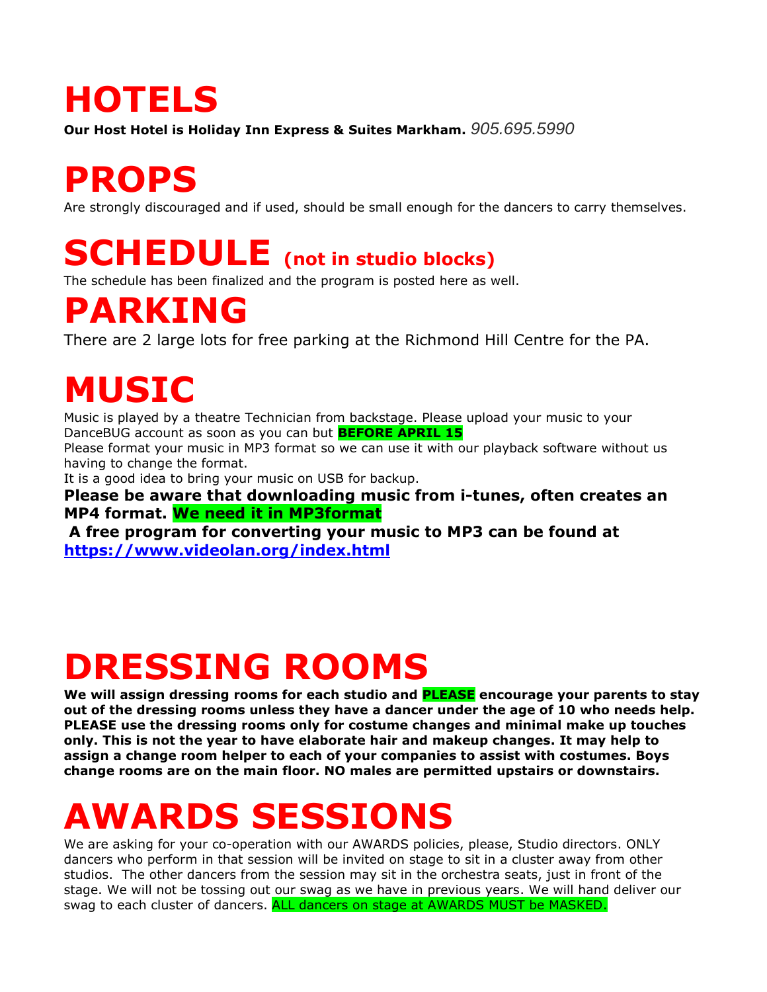## **HOTELS**

**Our Host Hotel is Holiday Inn Express & Suites Markham.** *905.695.5990*

## **PROPS**

Are strongly discouraged and if used, should be small enough for the dancers to carry themselves.

#### **SCHEDULE (not in studio blocks)**

The schedule has been finalized and the program is posted here as well.

#### **PARKING**

There are 2 large lots for free parking at the Richmond Hill Centre for the PA.

## **MUSIC**

Music is played by a theatre Technician from backstage. Please upload your music to your DanceBUG account as soon as you can but **BEFORE APRIL 15**

Please format your music in MP3 format so we can use it with our playback software without us having to change the format.

It is a good idea to bring your music on USB for backup.

**Please be aware that downloading music from i-tunes, often creates an MP4 format. We need it in MP3format**

**A free program for converting your music to MP3 can be found at <https://www.videolan.org/index.html>**

# **DRESSING ROOMS**

**We will assign dressing rooms for each studio and PLEASE encourage your parents to stay out of the dressing rooms unless they have a dancer under the age of 10 who needs help. PLEASE use the dressing rooms only for costume changes and minimal make up touches only. This is not the year to have elaborate hair and makeup changes. It may help to assign a change room helper to each of your companies to assist with costumes. Boys change rooms are on the main floor. NO males are permitted upstairs or downstairs.**

## **AWARDS SESSIONS**

We are asking for your co-operation with our AWARDS policies, please, Studio directors. ONLY dancers who perform in that session will be invited on stage to sit in a cluster away from other studios. The other dancers from the session may sit in the orchestra seats, just in front of the stage. We will not be tossing out our swag as we have in previous years. We will hand deliver our swag to each cluster of dancers. ALL dancers on stage at AWARDS MUST be MASKED.